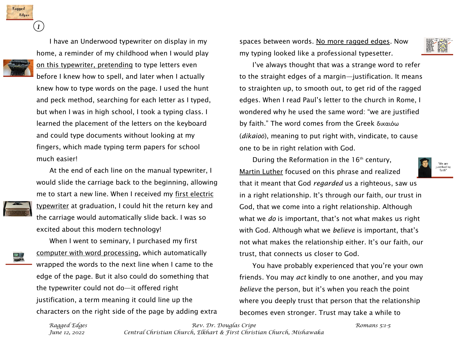I have an Underwood typewriter on display in my home, a reminder of my childhood when I would play on this typewriter, pretending to type letters even before I knew how to spell, and later when I actually knew how to type words on the page. I used the hunt and peck method, searching for each letter as I typed, but when I was in high school, I took a typing class. I learned the placement of the letters on the keyboard and could type documents without looking at my fingers, which made typing term papers for school much easier!

At the end of each line on the manual typewriter, I would slide the carriage back to the beginning, allowing me to start a new line. When I received my first electric typewriter at graduation, I could hit the return key and the carriage would automatically slide back. I was so excited about this modern technology!

When I went to seminary, I purchased my first computer with word processing, which automatically wrapped the words to the next line when I came to the edge of the page. But it also could do something that the typewriter could not do—it offered right justification, a term meaning it could line up the characters on the right side of the page by adding extra spaces between words. No more ragged edges. Now my typing looked like a professional typesetter.

I've always thought that was a strange word to refer to the straight edges of a margin—justification. It means to straighten up, to smooth out, to get rid of the ragged edges. When I read Paul's letter to the church in Rome, I wondered why he used the same word: "we are justified by faith." The word comes from the Greek δικαιόω (*dikaioō*), meaning to put right with, vindicate, to cause one to be in right relation with God.

During the Reformation in the  $16<sup>th</sup>$  century, Martin Luther focused on this phrase and realized that it meant that God *regarded* us a righteous, saw us in a right relationship. It's through our faith, our trust in God, that we come into a right relationship. Although what we *do* is important, that's not what makes us right with God. Although what we *believe* is important, that's not what makes the relationship either. It's our faith, our trust, that connects us closer to God.

You have probably experienced that you're your own friends. You may *act* kindly to one another, and you may *believe* the person, but it's when you reach the point where you deeply trust that person that the relationship becomes even stronger. Trust may take a while to

*1*

Ragged Edges

> *Ragged Edges Rev. Dr. Douglas Cripe Romans 5:1-5 June 12, 2022 Central Christian Church, Elkhart & First Christian Church, Mishawaka*



We are iustified by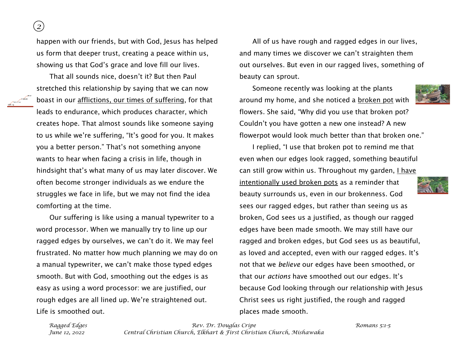happen with our friends, but with God, Jesus has helped us form that deeper trust, creating a peace within us, showing us that God's grace and love fill our lives.

That all sounds nice, doesn't it? But then Paul stretched this relationship by saying that we can now boast in our afflictions, our times of suffering, for that leads to endurance, which produces character, which creates hope. That almost sounds like someone saying to us while we're suffering, "It's good for you. It makes you a better person." That's not something anyone wants to hear when facing a crisis in life, though in hindsight that's what many of us may later discover. We often become stronger individuals as we endure the struggles we face in life, but we may not find the idea comforting at the time.

Our suffering is like using a manual typewriter to a word processor. When we manually try to line up our ragged edges by ourselves, we can't do it. We may feel frustrated. No matter how much planning we may do on a manual typewriter, we can't make those typed edges smooth. But with God, smoothing out the edges is as easy as using a word processor: we are justified, our rough edges are all lined up. We're straightened out. Life is smoothed out.

All of us have rough and ragged edges in our lives, and many times we discover we can't straighten them out ourselves. But even in our ragged lives, something of beauty can sprout.

Someone recently was looking at the plants around my home, and she noticed a broken pot with flowers. She said, "Why did you use that broken pot? Couldn't you have gotten a new one instead? A new flowerpot would look much better than that broken one."

I replied, "I use that broken pot to remind me that even when our edges look ragged, something beautiful can still grow within us. Throughout my garden, I have intentionally used broken pots as a reminder that beauty surrounds us, even in our brokenness. God sees our ragged edges, but rather than seeing us as broken, God sees us a justified, as though our ragged edges have been made smooth. We may still have our ragged and broken edges, but God sees us as beautiful, as loved and accepted, even with our ragged edges. It's not that we *believe* our edges have been smoothed, or that our *actions* have smoothed out our edges. It's because God looking through our relationship with Jesus Christ sees us right justified, the rough and ragged places made smooth.



*2*

*Ragged Edges Rev. Dr. Douglas Cripe Romans 5:1-5 June 12, 2022 Central Christian Church, Elkhart & First Christian Church, Mishawaka*